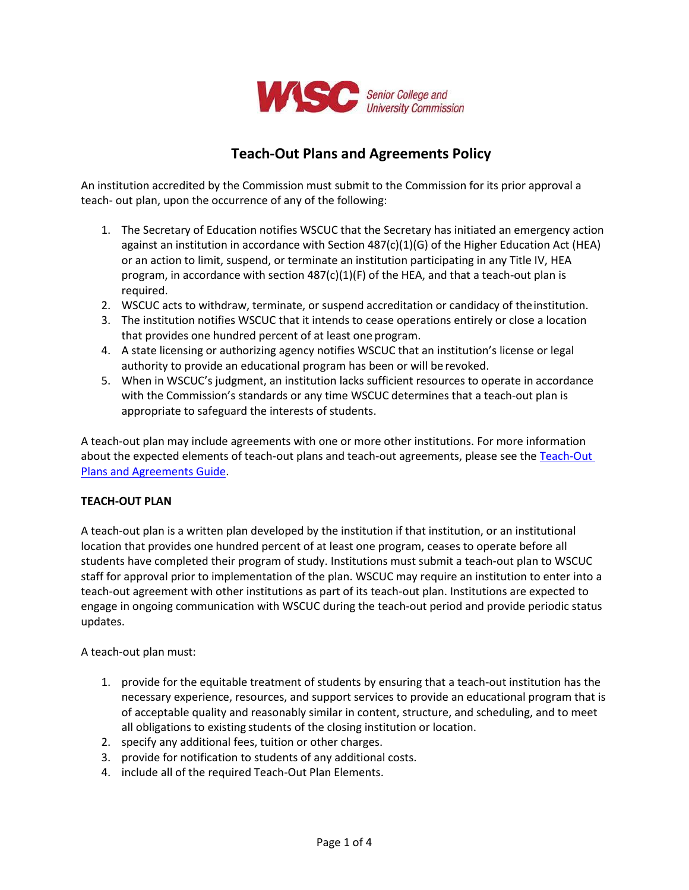

# **Teach-Out Plans and Agreements Policy**

An institution accredited by the Commission must submit to the Commission for its prior approval a teach- out plan, upon the occurrence of any of the following:

- 1. The Secretary of Education notifies WSCUC that the Secretary has initiated an emergency action against an institution in accordance with Section 487(c)(1)(G) of the Higher Education Act (HEA) or an action to limit, suspend, or terminate an institution participating in any Title IV, HEA program, in accordance with section  $487(c)(1)(F)$  of the HEA, and that a teach-out plan is required.
- 2. WSCUC acts to withdraw, terminate, or suspend accreditation or candidacy of theinstitution.
- 3. The institution notifies WSCUC that it intends to cease operations entirely or close a location that provides one hundred percent of at least one program.
- 4. A state licensing or authorizing agency notifies WSCUC that an institution's license or legal authority to provide an educational program has been or will be revoked.
- 5. When in WSCUC's judgment, an institution lacks sufficient resources to operate in accordance with the Commission's standards or any time WSCUC determines that a teach-out plan is appropriate to safeguard the interests of students.

A teach-out plan may include agreements with one or more other institutions. For more information about the expected elements of teach-out plans and teach-out agreements, please see the [Teach-Out](https://www.wscuc.org/content/teach-out-plans-and-agreements-guide)  [Plans and Agreements Guide.](https://www.wscuc.org/content/teach-out-plans-and-agreements-guide)

### **TEACH-OUT PLAN**

A teach-out plan is a written plan developed by the institution if that institution, or an institutional location that provides one hundred percent of at least one program, ceases to operate before all students have completed their program of study. Institutions must submit a teach-out plan to WSCUC staff for approval prior to implementation of the plan. WSCUC may require an institution to enter into a teach-out agreement with other institutions as part of its teach-out plan. Institutions are expected to engage in ongoing communication with WSCUC during the teach-out period and provide periodic status updates.

A teach-out plan must:

- 1. provide for the equitable treatment of students by ensuring that a teach-out institution has the necessary experience, resources, and support services to provide an educational program that is of acceptable quality and reasonably similar in content, structure, and scheduling, and to meet all obligations to existing students of the closing institution or location.
- 2. specify any additional fees, tuition or other charges.
- 3. provide for notification to students of any additional costs.
- 4. include all of the required Teach-Out Plan Elements.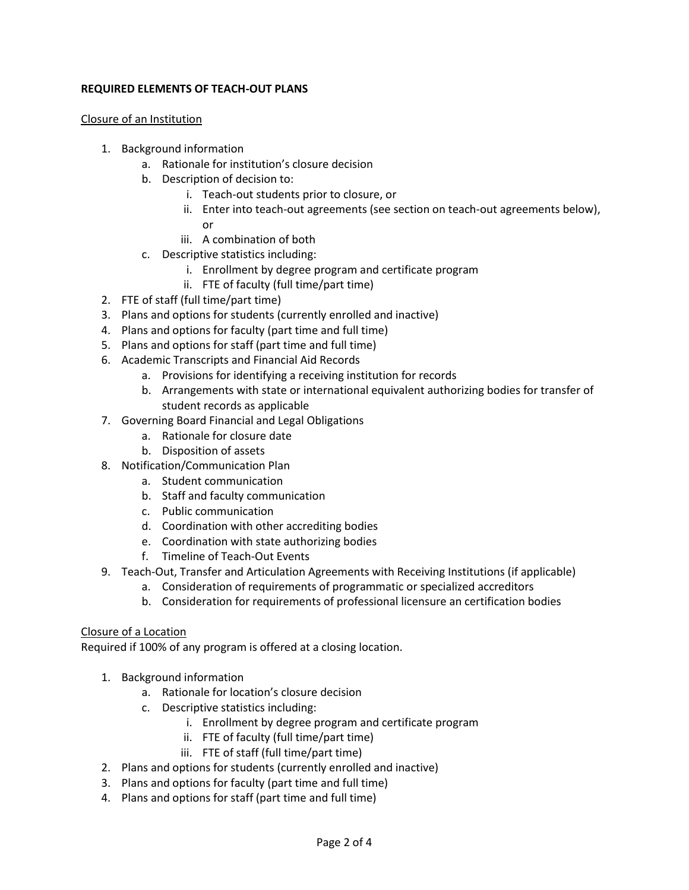## **REQUIRED ELEMENTS OF TEACH-OUT PLANS**

#### Closure of an Institution

- 1. Background information
	- a. Rationale for institution's closure decision
	- b. Description of decision to:
		- i. Teach-out students prior to closure, or
		- ii. Enter into teach-out agreements (see section on teach-out agreements below), or
		- iii. A combination of both
	- c. Descriptive statistics including:
		- i. Enrollment by degree program and certificate program
		- ii. FTE of faculty (full time/part time)
- 2. FTE of staff (full time/part time)
- 3. Plans and options for students (currently enrolled and inactive)
- 4. Plans and options for faculty (part time and full time)
- 5. Plans and options for staff (part time and full time)
- 6. Academic Transcripts and Financial Aid Records
	- a. Provisions for identifying a receiving institution for records
	- b. Arrangements with state or international equivalent authorizing bodies for transfer of student records as applicable
- 7. Governing Board Financial and Legal Obligations
	- a. Rationale for closure date
	- b. Disposition of assets
- 8. Notification/Communication Plan
	- a. Student communication
	- b. Staff and faculty communication
	- c. Public communication
	- d. Coordination with other accrediting bodies
	- e. Coordination with state authorizing bodies
	- f. Timeline of Teach-Out Events
- 9. Teach-Out, Transfer and Articulation Agreements with Receiving Institutions (if applicable)
	- a. Consideration of requirements of programmatic or specialized accreditors
	- b. Consideration for requirements of professional licensure an certification bodies

### Closure of a Location

Required if 100% of any program is offered at a closing location.

- 1. Background information
	- a. Rationale for location's closure decision
	- c. Descriptive statistics including:
		- i. Enrollment by degree program and certificate program
		- ii. FTE of faculty (full time/part time)
		- iii. FTE of staff (full time/part time)
- 2. Plans and options for students (currently enrolled and inactive)
- 3. Plans and options for faculty (part time and full time)
- 4. Plans and options for staff (part time and full time)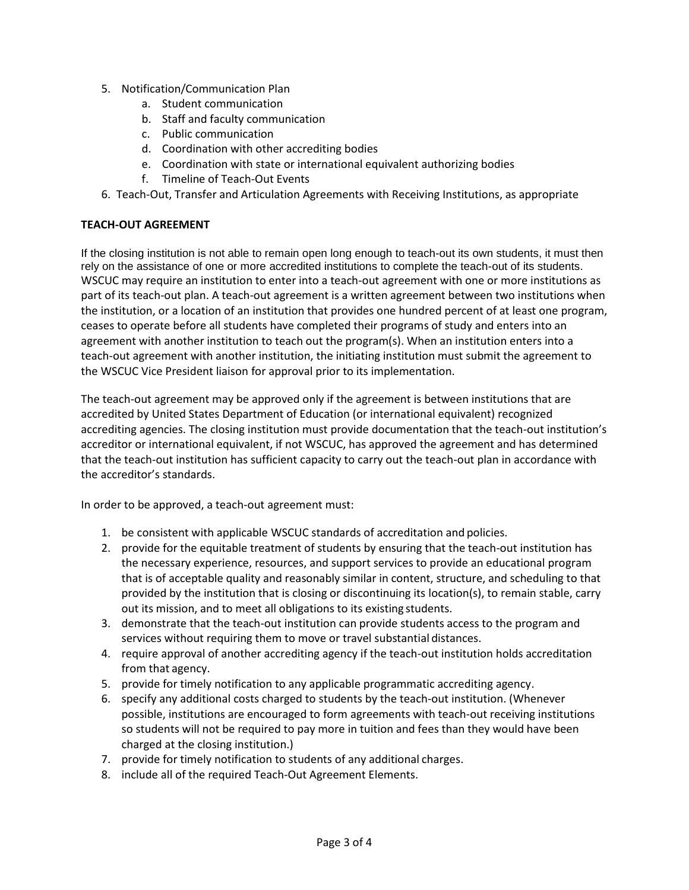- 5. Notification/Communication Plan
	- a. Student communication
	- b. Staff and faculty communication
	- c. Public communication
	- d. Coordination with other accrediting bodies
	- e. Coordination with state or international equivalent authorizing bodies
	- f. Timeline of Teach-Out Events
- 6. Teach-Out, Transfer and Articulation Agreements with Receiving Institutions, as appropriate

### **TEACH-OUT AGREEMENT**

If the closing institution is not able to remain open long enough to teach-out its own students, it must then rely on the assistance of one or more accredited institutions to complete the teach-out of its students. WSCUC may require an institution to enter into a teach-out agreement with one or more institutions as part of its teach-out plan. A teach-out agreement is a written agreement between two institutions when the institution, or a location of an institution that provides one hundred percent of at least one program, ceases to operate before all students have completed their programs of study and enters into an agreement with another institution to teach out the program(s). When an institution enters into a teach-out agreement with another institution, the initiating institution must submit the agreement to the WSCUC Vice President liaison for approval prior to its implementation.

The teach-out agreement may be approved only if the agreement is between institutions that are accredited by United States Department of Education (or international equivalent) recognized accrediting agencies. The closing institution must provide documentation that the teach-out institution's accreditor or international equivalent, if not WSCUC, has approved the agreement and has determined that the teach-out institution has sufficient capacity to carry out the teach-out plan in accordance with the accreditor's standards.

In order to be approved, a teach-out agreement must:

- 1. be consistent with applicable WSCUC standards of accreditation and policies.
- 2. provide for the equitable treatment of students by ensuring that the teach-out institution has the necessary experience, resources, and support services to provide an educational program that is of acceptable quality and reasonably similar in content, structure, and scheduling to that provided by the institution that is closing or discontinuing its location(s), to remain stable, carry out its mission, and to meet all obligations to its existing students.
- 3. demonstrate that the teach-out institution can provide students access to the program and services without requiring them to move or travel substantial distances.
- 4. require approval of another accrediting agency if the teach-out institution holds accreditation from that agency.
- 5. provide for timely notification to any applicable programmatic accrediting agency.
- 6. specify any additional costs charged to students by the teach-out institution. (Whenever possible, institutions are encouraged to form agreements with teach-out receiving institutions so students will not be required to pay more in tuition and fees than they would have been charged at the closing institution.)
- 7. provide for timely notification to students of any additional charges.
- 8. include all of the required Teach-Out Agreement Elements.